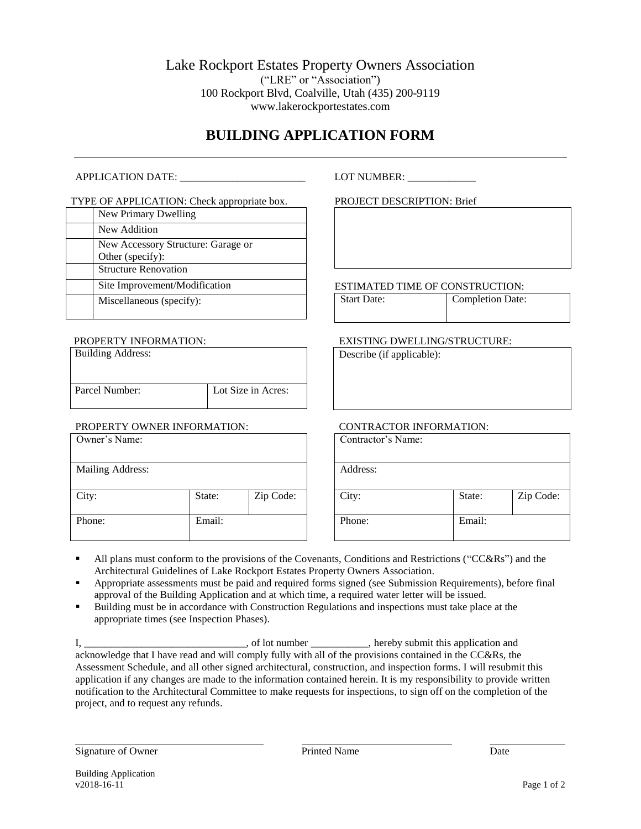Lake Rockport Estates Property Owners Association ("LRE" or "Association") 100 Rockport Blvd, Coalville, Utah (435) 200-9119 www.lakerockportestates.com

# **BUILDING APPLICATION FORM**

#### APPLICATION DATE: \_\_\_\_\_\_\_\_\_\_\_\_\_\_\_\_\_\_\_\_\_\_\_\_ LOT NUMBER: \_\_\_\_\_\_\_\_\_\_\_\_\_

#### TYPE OF APPLICATION: Check appropriate box.

| New Primary Dwelling                                   |
|--------------------------------------------------------|
| New Addition                                           |
| New Accessory Structure: Garage or<br>Other (specify): |
| <b>Structure Renovation</b>                            |
| Site Improvement/Modification                          |
| Miscellaneous (specify):                               |

#### PROPERTY INFORMATION:

| <b>Building Address:</b> |                    |
|--------------------------|--------------------|
| Parcel Number:           | Lot Size in Acres: |

### PROPERTY OWNER INFORMATION:

| Owner's Name:    |        |           |
|------------------|--------|-----------|
| Mailing Address: |        |           |
|                  |        |           |
| City:            | State: | Zip Code: |
| Phone:           | Email: |           |

PROJECT DESCRIPTION: Brief

ESTIMATED TIME OF CONSTRUCTION:

Start Date: Completion Date:

#### EXISTING DWELLING/STRUCTURE:

Describe (if applicable):

#### CONTRACTOR INFORMATION:

| Contractor's Name: |        |           |
|--------------------|--------|-----------|
| Address:           |        |           |
| City:              | State: | Zip Code: |
| Phone:             | Email: |           |

- All plans must conform to the provisions of the Covenants, Conditions and Restrictions ("CC&Rs") and the Architectural Guidelines of Lake Rockport Estates Property Owners Association.
- Appropriate assessments must be paid and required forms signed (see Submission Requirements), before final approval of the Building Application and at which time, a required water letter will be issued.
- Building must be in accordance with Construction Regulations and inspections must take place at the appropriate times (see Inspection Phases).

I, \_\_\_\_\_\_\_\_\_\_\_\_\_\_\_\_\_\_\_\_\_\_\_\_\_\_\_\_\_\_\_, of lot number \_\_\_\_\_\_\_\_\_\_\_, hereby submit this application and acknowledge that I have read and will comply fully with all of the provisions contained in the CC&Rs, the Assessment Schedule, and all other signed architectural, construction, and inspection forms. I will resubmit this application if any changes are made to the information contained herein. It is my responsibility to provide written notification to the Architectural Committee to make requests for inspections, to sign off on the completion of the project, and to request any refunds.